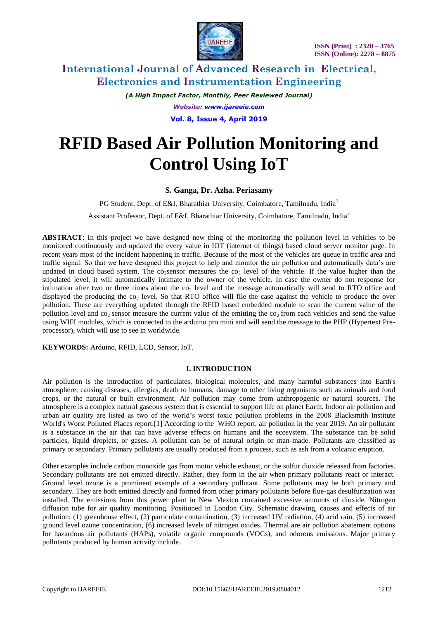

*(A High Impact Factor, Monthly, Peer Reviewed Journal) Website: [www.ijareeie.com](http://www.ijareeie.com/)* **Vol. 8, Issue 4, April 2019**

# **RFID Based Air Pollution Monitoring and Control Using IoT**

## **S. Ganga, Dr. Azha. Periasamy**

PG Student, Dept. of E&I, Bharathiar University, Coimbatore, Tamilnadu, India<sup>1</sup>

Assistant Professor, Dept. of E&I, Bharathiar University, Coimbatore, Tamilnadu, India<sup>2</sup>

**ABSTRACT**: In this project we have designed new thing of the monitoring the pollution level in vehicles to be monitored continuously and updated the every value in IOT (internet of things) based cloud server monitor page. In recent years most of the incident happening in traffic. Because of the most of the vehicles are queue in traffic area and traffic signal. So that we have designed this project to help and monitor the air pollution and automatically data's are updated in cloud based system. The co-sensor measures the co $_2$  level of the vehicle. If the value higher than the stipulated level, it will automatically intimate to the owner of the vehicle. In case the owner do not response for intimation after two or three times about the  $\cos_2$  level and the message automatically will send to RTO office and displayed the producing the  $\cos$  level. So that RTO office will file the case against the vehicle to produce the over pollution. These are everything updated through the RFID based embedded module to scan the current value of the pollution level and  $\cos$  sensor measure the current value of the emitting the  $\cos$  from each vehicles and send the value using WIFI modules, which is connected to the arduino pro mini and will send the message to the PHP (Hypertext Preprocessor), which will use to see in worldwide.

**KEYWORDS:** Arduino, RFID, LCD, Sensor, IoT.

#### **I. INTRODUCTION**

Air pollution is the introduction of [particulates,](https://en.wikipedia.org/wiki/Particulates) [biological molecules,](https://en.wikipedia.org/wiki/Biomolecule) and many harmful substances into [Earth's](https://en.wikipedia.org/wiki/Earth%27s_atmosphere)  [atmosphere,](https://en.wikipedia.org/wiki/Earth%27s_atmosphere) causing diseases, allergies, death to humans, damage to other living organisms such as animals and food crops, or the [natural](https://en.wikipedia.org/wiki/Natural_environment) or [built environment.](https://en.wikipedia.org/wiki/Built_environment) Air pollution may come from [anthropogenic](https://en.wikipedia.org/wiki/Anthropogenic) or natural sources. The atmosphere is a complex natural gaseous system that is essential to support life on planet Earth. Indoor air pollution and urban air quality are listed as two of the world's worst toxic pollution problems in the 2008 [Blacksmith Institute](https://en.wikipedia.org/wiki/Blacksmith_Institute) World's Worst Polluted Places report[.\[1\]](https://en.wikipedia.org/wiki/Air_pollution#cite_note-1) According to the [WHO](https://en.wikipedia.org/wiki/WHO) report, air pollution in the year 2019. An air pollutant is a substance in the air that can have adverse effects on humans and the ecosystem. The substance can be solid particles, liquid droplets, or gases. A pollutant can be of natural origin or man-made. Pollutants are classified as primary or secondary. Primary pollutants are usually produced from a process, such as ash from a volcanic eruption.

Other examples include [carbon monoxide](https://en.wikipedia.org/wiki/Carbon_monoxide) gas from motor vehicle exhaust, or the [sulfur dioxide](https://en.wikipedia.org/wiki/Sulfur_dioxide) released from factories. Secondary pollutants are not emitted directly. Rather, they form in the air when primary pollutants react or interact. [Ground level ozone](https://en.wikipedia.org/wiki/Ground_level_ozone) is a prominent example of a secondary pollutant. Some pollutants may be both primary and secondary. They are both emitted directly and formed from other primary pollutants before [flue-gas desulfurization](https://en.wikipedia.org/wiki/Flue-gas_desulfurization) was installed. The emissions from this power plant in [New Mexico](https://en.wikipedia.org/wiki/New_Mexico) contained excessive amounts of dioxide. Nitrogen diffusion tube for air quality monitoring. Positioned in [London](https://en.wikipedia.org/wiki/London) City. Schematic drawing, causes and effects of air pollution: (1) greenhouse effect, (2) particulate contamination, (3) increased UV radiation, (4) acid rain, (5) increased ground level ozone concentration, (6) increased levels of nitrogen oxides. Thermal are air pollution abatement options for [hazardous air pollutants](https://en.wikipedia.org/wiki/Hazardous_air_pollutant) (HAPs), [volatile organic compounds](https://en.wikipedia.org/wiki/Volatile_organic_compounds) (VOCs), and odorous emissions. Major primary pollutants produced by human activity include.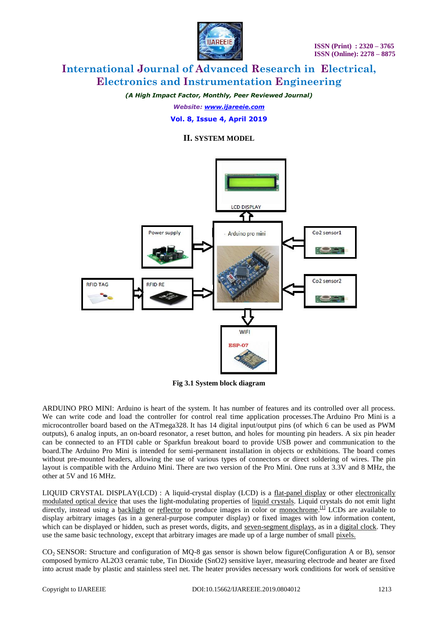

*(A High Impact Factor, Monthly, Peer Reviewed Journal)*

*Website: [www.ijareeie.com](http://www.ijareeie.com/)*

### **Vol. 8, Issue 4, April 2019**

## **II. SYSTEM MODEL**



**Fig 3.1 System block diagram**

ARDUINO PRO MINI: Arduino is heart of the system. It has number of features and its controlled over all process. We can write code and load the controller for control real time application processes. The Arduino Pro Mini is a microcontroller board based on the [ATmega328.](http://www.atmel.com/Images/Atmel-8271-8-bit-AVR-Microcontroller-ATmega48A-48PA-88A-88PA-168A-168PA-328-328P_datasheet.pdf) It has 14 digital input/output pins (of which 6 can be used as PWM outputs), 6 analog inputs, an on-board resonator, a reset button, and holes for mounting pin headers. A six pin header can be connected to an FTDI cable or Sparkfun breakout board to provide USB power and communication to the board.The Arduino Pro Mini is intended for semi-permanent installation in objects or exhibitions. The board comes without pre-mounted headers, allowing the use of various types of connectors or direct soldering of wires. The pin layout is compatible with the Arduino Mini. There are two version of the Pro Mini. One runs at 3.3V and 8 MHz, the other at 5V and 16 MHz.

LIQUID CRYSTAL DISPLAY(LCD) : A liquid-crystal display (LCD) is a [flat-panel display](mhtml:file://C:\Users\DELL\Desktop\paper\lcd\Liquid-crystal%20display%20-%20Wikipedia.mhtml!https://en.m.wikipedia.org/wiki/Flat_panel_display) or other [electronically](mhtml:file://C:\Users\DELL\Desktop\paper\lcd\Liquid-crystal%20display%20-%20Wikipedia.mhtml!https://en.m.wikipedia.org/wiki/Electro-optic_modulator)  [modulated optical device](mhtml:file://C:\Users\DELL\Desktop\paper\lcd\Liquid-crystal%20display%20-%20Wikipedia.mhtml!https://en.m.wikipedia.org/wiki/Electro-optic_modulator) that uses the light-modulating properties of [liquid crystals.](mhtml:file://C:\Users\DELL\Desktop\paper\lcd\Liquid-crystal%20display%20-%20Wikipedia.mhtml!https://en.m.wikipedia.org/wiki/Liquid_crystal) Liquid crystals do not emit light directly, instead using a [backlight](mhtml:file://C:\Users\DELL\Desktop\paper\lcd\Liquid-crystal%20display%20-%20Wikipedia.mhtml!https://en.m.wikipedia.org/wiki/Backlight) or [reflector](mhtml:file://C:\Users\DELL\Desktop\paper\lcd\Liquid-crystal%20display%20-%20Wikipedia.mhtml!https://en.m.wikipedia.org/wiki/Reflector_(photography)) to produce images in color or [monochrome.](mhtml:file://C:\Users\DELL\Desktop\paper\lcd\Liquid-crystal%20display%20-%20Wikipedia.mhtml!https://en.m.wikipedia.org/wiki/Monochrome)<sup>[\[1\]](mhtml:file://C:\Users\DELL\Desktop\paper\lcd\Liquid-crystal%20display%20-%20Wikipedia.mhtml!https://en.m.wikipedia.org/wiki/Liquid-crystal_display#cite_note-1)</sup> LCDs are available to display arbitrary images (as in a general-purpose computer display) or fixed images with low information content, which can be displayed or hidden, such as preset words, digits, and [seven-segment displays,](mhtml:file://C:\Users\DELL\Desktop\paper\lcd\Liquid-crystal%20display%20-%20Wikipedia.mhtml!https://en.m.wikipedia.org/wiki/Seven-segment_display) as in a [digital clock.](mhtml:file://C:\Users\DELL\Desktop\paper\lcd\Liquid-crystal%20display%20-%20Wikipedia.mhtml!https://en.m.wikipedia.org/wiki/Digital_clock) They use the same basic technology, except that arbitrary images are made up of a large number of small [pixels.](mhtml:file://C:\Users\DELL\Desktop\paper\lcd\Liquid-crystal%20display%20-%20Wikipedia.mhtml!https://en.m.wikipedia.org/wiki/Pixel)

CO<sub>2</sub> SENSOR: Structure and configuration of MO-8 gas sensor is shown below figure(Configuration A or B), sensor composed bymicro AL2O3 ceramic tube, Tin Dioxide (SnO2) sensitive layer, measuring electrode and heater are fixed into acrust made by plastic and stainless steel net. The heater provides necessary work conditions for work of sensitive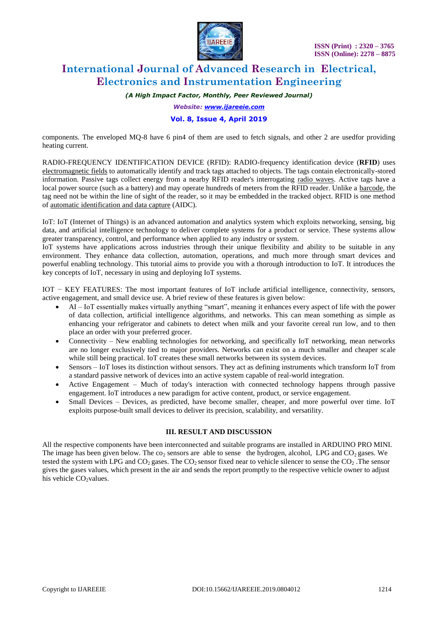

*(A High Impact Factor, Monthly, Peer Reviewed Journal)*

*Website: [www.ijareeie.com](http://www.ijareeie.com/)*

#### **Vol. 8, Issue 4, April 2019**

components. The enveloped MQ-8 have 6 pin4 of them are used to fetch signals, and other 2 are usedfor providing heating current.

RADIO-FREQUENCY IDENTIFICATION DEVICE (RFID): RADIO-frequency identification device (**RFID**) uses [electromagnetic fields](https://en.wikipedia.org/wiki/Electromagnetic_field) to automatically identify and track tags attached to objects. The tags contain electronically-stored information. Passive tags collect energy from a nearby RFID reader's interrogating [radio waves.](https://en.wikipedia.org/wiki/Radio_wave) Active tags have a local power source (such as a battery) and may operate hundreds of meters from the RFID reader. Unlike a [barcode,](https://en.wikipedia.org/wiki/Barcode) the tag need not be within the line of sight of the reader, so it may be embedded in the tracked object. RFID is one method of [automatic identification and data capture](https://en.wikipedia.org/wiki/Automatic_identification_and_data_capture) (AIDC).

IoT: IoT (Internet of Things) is an advanced automation and analytics system which exploits networking, sensing, big data, and artificial intelligence technology to deliver complete systems for a product or service. These systems allow greater transparency, control, and performance when applied to any industry or system.

IoT systems have applications across industries through their unique flexibility and ability to be suitable in any environment. They enhance data collection, automation, operations, and much more through smart devices and powerful enabling technology. This tutorial aims to provide you with a thorough introduction to IoT. It introduces the key concepts of IoT, necessary in using and deploying IoT systems.

IOT − KEY FEATURES: The most important features of IoT include artificial intelligence, connectivity, sensors, active engagement, and small device use. A brief review of these features is given below:

- AI IoT essentially makes virtually anything "smart", meaning it enhances every aspect of life with the power of data collection, artificial intelligence algorithms, and networks. This can mean something as simple as enhancing your refrigerator and cabinets to detect when milk and your favorite cereal run low, and to then place an order with your preferred grocer.
- Connectivity New enabling technologies for networking, and specifically IoT networking, mean networks are no longer exclusively tied to major providers. Networks can exist on a much smaller and cheaper scale while still being practical. IoT creates these small networks between its system devices.
- Sensors IoT loses its distinction without sensors. They act as defining instruments which transform IoT from a standard passive network of devices into an active system capable of real-world integration.
- Active Engagement Much of today's interaction with connected technology happens through passive engagement. IoT introduces a new paradigm for active content, product, or service engagement.
- Small Devices Devices, as predicted, have become smaller, cheaper, and more powerful over time. IoT exploits purpose-built small devices to deliver its precision, scalability, and versatility.

#### **III. RESULT AND DISCUSSION**

All the respective components have been interconnected and suitable programs are installed in ARDUINO PRO MINI. The image has been given below. The  $\cos$  sensors are able to sense the hydrogen, alcohol, LPG and CO<sub>2</sub> gases. We tested the system with LPG and  $CO_2$  gases. The  $CO_2$  sensor fixed near to vehicle silencer to sense the  $CO_2$ . The sensor gives the gases values, which present in the air and sends the report promptly to the respective vehicle owner to adjust his vehicle  $CO<sub>2</sub>$ values.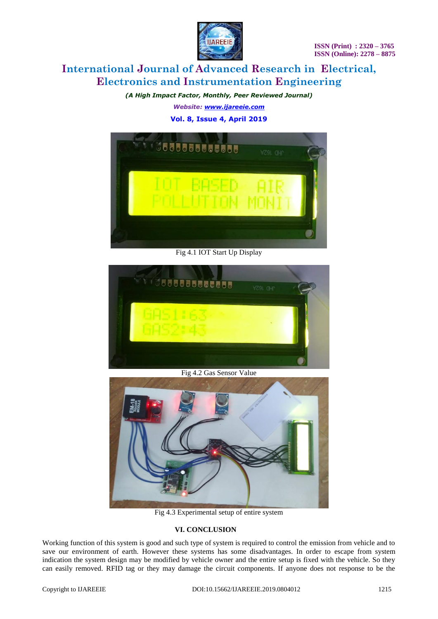

*(A High Impact Factor, Monthly, Peer Reviewed Journal) Website: [www.ijareeie.com](http://www.ijareeie.com/)* **Vol. 8, Issue 4, April 2019**



Fig 4.1 IOT Start Up Display



Fig 4.2 Gas Sensor Value



Fig 4.3 Experimental setup of entire system

## **VI. CONCLUSION**

Working function of this system is good and such type of system is required to control the emission from vehicle and to save our environment of earth. However these systems has some disadvantages. In order to escape from system indication the system design may be modified by vehicle owner and the entire setup is fixed with the vehicle. So they can easily removed. RFID tag or they may damage the circuit components. If anyone does not response to be the